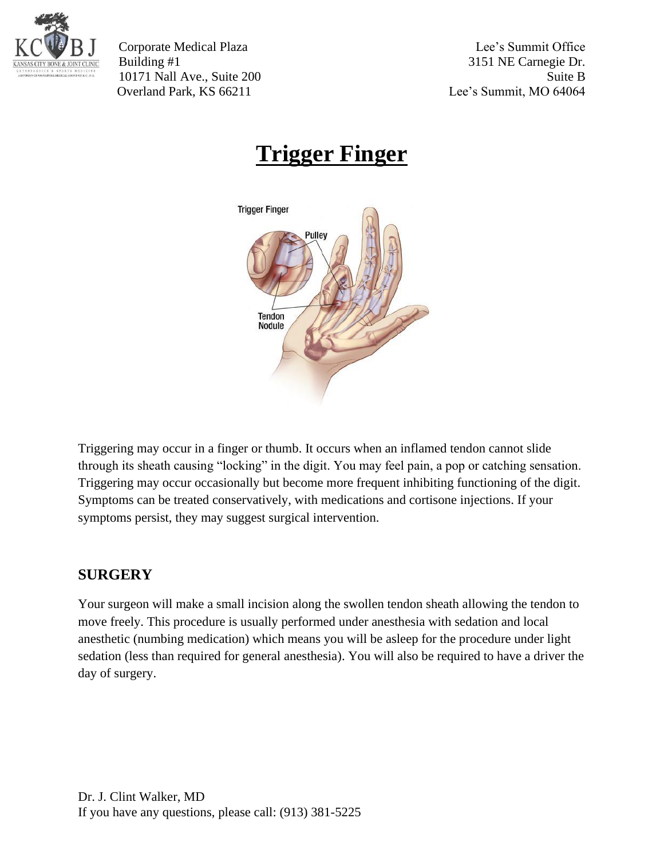

Corporate Medical Plaza Lee's Summit Office Building #1 3151 NE Carnegie Dr. 10171 Nall Ave., Suite 200 Suite B Overland Park, KS 66211 Lee's Summit, MO 64064

## **Trigger Finger**



Triggering may occur in a finger or thumb. It occurs when an inflamed tendon cannot slide through its sheath causing "locking" in the digit. You may feel pain, a pop or catching sensation. Triggering may occur occasionally but become more frequent inhibiting functioning of the digit. Symptoms can be treated conservatively, with medications and cortisone injections. If your symptoms persist, they may suggest surgical intervention.

## **SURGERY**

Your surgeon will make a small incision along the swollen tendon sheath allowing the tendon to move freely. This procedure is usually performed under anesthesia with sedation and local anesthetic (numbing medication) which means you will be asleep for the procedure under light sedation (less than required for general anesthesia). You will also be required to have a driver the day of surgery.